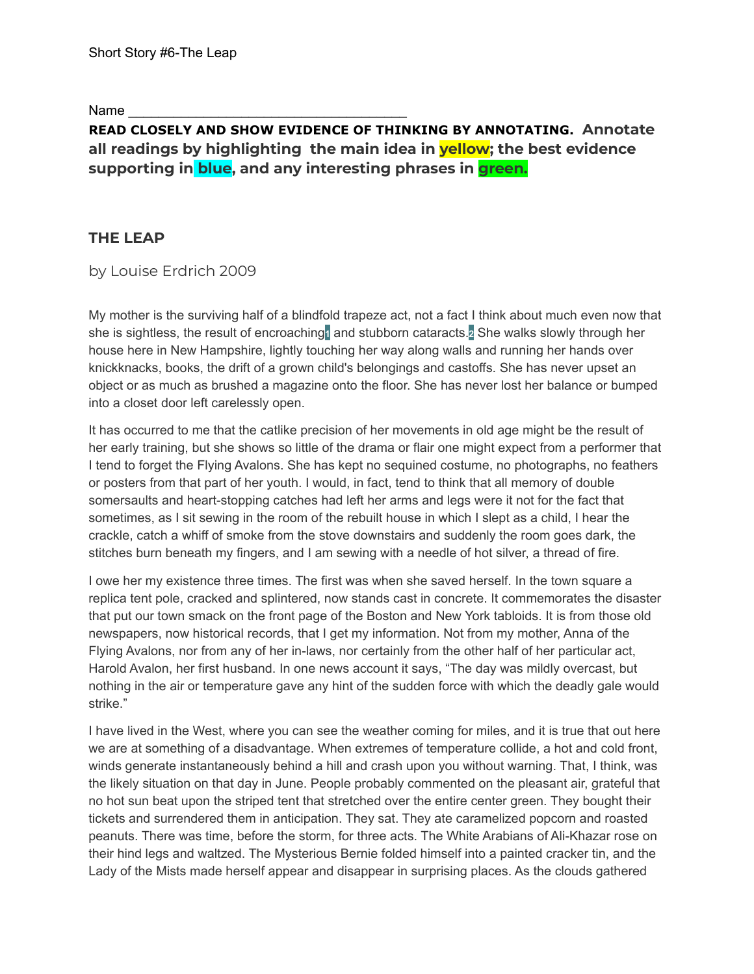Name

# **READ CLOSELY AND SHOW EVIDENCE OF THINKING BY ANNOTATING. Annotate all readings by highlighting the main idea in yellow; the best evidence supporting in blue, and any interesting phrases in green.**

## **THE LEAP**

by Louise Erdrich 2009

My mother is the surviving half of a blindfold trapeze act, not a fact I think about much even now that she is sightless, the result of encroaching**1** and stubborn cataracts.**2** She walks slowly through her house here in New Hampshire, lightly touching her way along walls and running her hands over knickknacks, books, the drift of a grown child's belongings and castoffs. She has never upset an object or as much as brushed a magazine onto the floor. She has never lost her balance or bumped into a closet door left carelessly open.

It has occurred to me that the catlike precision of her movements in old age might be the result of her early training, but she shows so little of the drama or flair one might expect from a performer that I tend to forget the Flying Avalons. She has kept no sequined costume, no photographs, no feathers or posters from that part of her youth. I would, in fact, tend to think that all memory of double somersaults and heart-stopping catches had left her arms and legs were it not for the fact that sometimes, as I sit sewing in the room of the rebuilt house in which I slept as a child, I hear the crackle, catch a whiff of smoke from the stove downstairs and suddenly the room goes dark, the stitches burn beneath my fingers, and I am sewing with a needle of hot silver, a thread of fire.

I owe her my existence three times. The first was when she saved herself. In the town square a replica tent pole, cracked and splintered, now stands cast in concrete. It commemorates the disaster that put our town smack on the front page of the Boston and New York tabloids. It is from those old newspapers, now historical records, that I get my information. Not from my mother, Anna of the Flying Avalons, nor from any of her in-laws, nor certainly from the other half of her particular act, Harold Avalon, her first husband. In one news account it says, "The day was mildly overcast, but nothing in the air or temperature gave any hint of the sudden force with which the deadly gale would strike."

I have lived in the West, where you can see the weather coming for miles, and it is true that out here we are at something of a disadvantage. When extremes of temperature collide, a hot and cold front, winds generate instantaneously behind a hill and crash upon you without warning. That, I think, was the likely situation on that day in June. People probably commented on the pleasant air, grateful that no hot sun beat upon the striped tent that stretched over the entire center green. They bought their tickets and surrendered them in anticipation. They sat. They ate caramelized popcorn and roasted peanuts. There was time, before the storm, for three acts. The White Arabians of Ali-Khazar rose on their hind legs and waltzed. The Mysterious Bernie folded himself into a painted cracker tin, and the Lady of the Mists made herself appear and disappear in surprising places. As the clouds gathered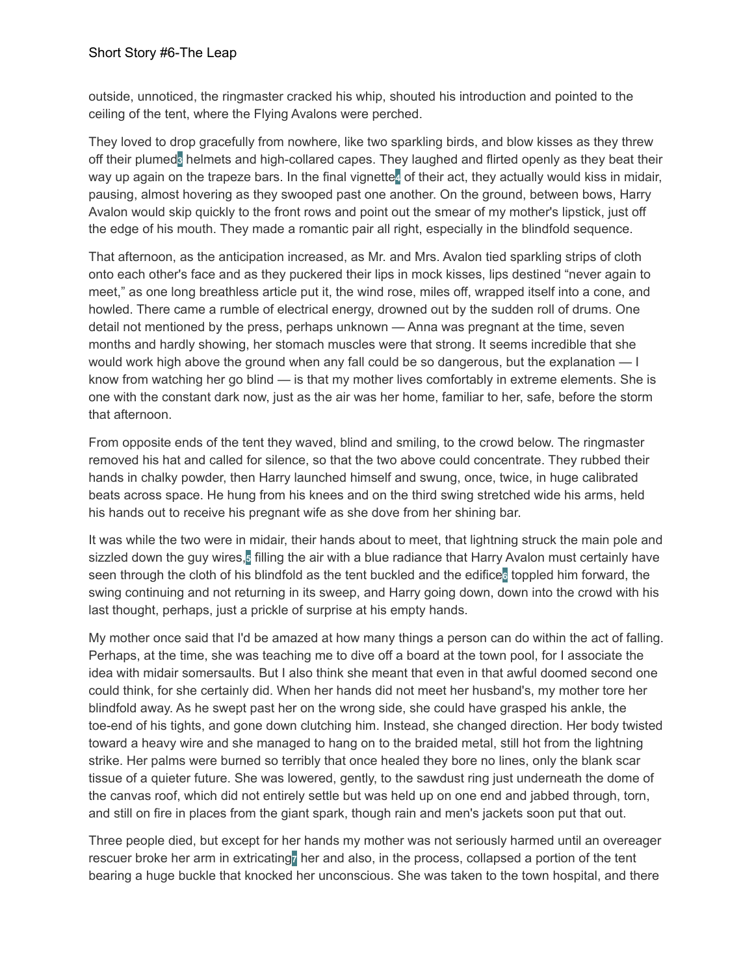outside, unnoticed, the ringmaster cracked his whip, shouted his introduction and pointed to the ceiling of the tent, where the Flying Avalons were perched.

They loved to drop gracefully from nowhere, like two sparkling birds, and blow kisses as they threw off their plumed**3** helmets and high-collared capes. They laughed and flirted openly as they beat their way up again on the trapeze bars. In the final vignette**4** of their act, they actually would kiss in midair, pausing, almost hovering as they swooped past one another. On the ground, between bows, Harry Avalon would skip quickly to the front rows and point out the smear of my mother's lipstick, just off the edge of his mouth. They made a romantic pair all right, especially in the blindfold sequence.

That afternoon, as the anticipation increased, as Mr. and Mrs. Avalon tied sparkling strips of cloth onto each other's face and as they puckered their lips in mock kisses, lips destined "never again to meet," as one long breathless article put it, the wind rose, miles off, wrapped itself into a cone, and howled. There came a rumble of electrical energy, drowned out by the sudden roll of drums. One detail not mentioned by the press, perhaps unknown — Anna was pregnant at the time, seven months and hardly showing, her stomach muscles were that strong. It seems incredible that she would work high above the ground when any fall could be so dangerous, but the explanation — I know from watching her go blind — is that my mother lives comfortably in extreme elements. She is one with the constant dark now, just as the air was her home, familiar to her, safe, before the storm that afternoon.

From opposite ends of the tent they waved, blind and smiling, to the crowd below. The ringmaster removed his hat and called for silence, so that the two above could concentrate. They rubbed their hands in chalky powder, then Harry launched himself and swung, once, twice, in huge calibrated beats across space. He hung from his knees and on the third swing stretched wide his arms, held his hands out to receive his pregnant wife as she dove from her shining bar.

It was while the two were in midair, their hands about to meet, that lightning struck the main pole and sizzled down the guy wires,**5** filling the air with a blue radiance that Harry Avalon must certainly have seen through the cloth of his blindfold as the tent buckled and the edifice**6** toppled him forward, the swing continuing and not returning in its sweep, and Harry going down, down into the crowd with his last thought, perhaps, just a prickle of surprise at his empty hands.

My mother once said that I'd be amazed at how many things a person can do within the act of falling. Perhaps, at the time, she was teaching me to dive off a board at the town pool, for I associate the idea with midair somersaults. But I also think she meant that even in that awful doomed second one could think, for she certainly did. When her hands did not meet her husband's, my mother tore her blindfold away. As he swept past her on the wrong side, she could have grasped his ankle, the toe-end of his tights, and gone down clutching him. Instead, she changed direction. Her body twisted toward a heavy wire and she managed to hang on to the braided metal, still hot from the lightning strike. Her palms were burned so terribly that once healed they bore no lines, only the blank scar tissue of a quieter future. She was lowered, gently, to the sawdust ring just underneath the dome of the canvas roof, which did not entirely settle but was held up on one end and jabbed through, torn, and still on fire in places from the giant spark, though rain and men's jackets soon put that out.

Three people died, but except for her hands my mother was not seriously harmed until an overeager rescuer broke her arm in extricating<sub>1</sub> her and also, in the process, collapsed a portion of the tent bearing a huge buckle that knocked her unconscious. She was taken to the town hospital, and there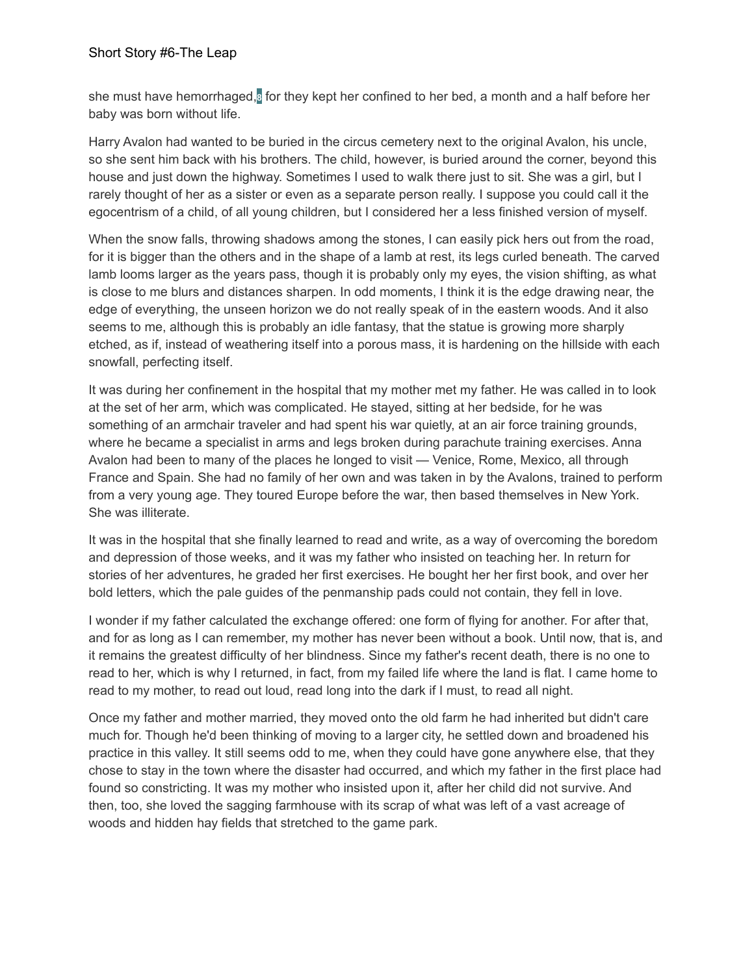#### Short Story #6-The Leap

she must have hemorrhaged,**8** for they kept her confined to her bed, a month and a half before her baby was born without life.

Harry Avalon had wanted to be buried in the circus cemetery next to the original Avalon, his uncle, so she sent him back with his brothers. The child, however, is buried around the corner, beyond this house and just down the highway. Sometimes I used to walk there just to sit. She was a girl, but I rarely thought of her as a sister or even as a separate person really. I suppose you could call it the egocentrism of a child, of all young children, but I considered her a less finished version of myself.

When the snow falls, throwing shadows among the stones, I can easily pick hers out from the road, for it is bigger than the others and in the shape of a lamb at rest, its legs curled beneath. The carved lamb looms larger as the years pass, though it is probably only my eyes, the vision shifting, as what is close to me blurs and distances sharpen. In odd moments, I think it is the edge drawing near, the edge of everything, the unseen horizon we do not really speak of in the eastern woods. And it also seems to me, although this is probably an idle fantasy, that the statue is growing more sharply etched, as if, instead of weathering itself into a porous mass, it is hardening on the hillside with each snowfall, perfecting itself.

It was during her confinement in the hospital that my mother met my father. He was called in to look at the set of her arm, which was complicated. He stayed, sitting at her bedside, for he was something of an armchair traveler and had spent his war quietly, at an air force training grounds, where he became a specialist in arms and legs broken during parachute training exercises. Anna Avalon had been to many of the places he longed to visit — Venice, Rome, Mexico, all through France and Spain. She had no family of her own and was taken in by the Avalons, trained to perform from a very young age. They toured Europe before the war, then based themselves in New York. She was illiterate.

It was in the hospital that she finally learned to read and write, as a way of overcoming the boredom and depression of those weeks, and it was my father who insisted on teaching her. In return for stories of her adventures, he graded her first exercises. He bought her her first book, and over her bold letters, which the pale guides of the penmanship pads could not contain, they fell in love.

I wonder if my father calculated the exchange offered: one form of flying for another. For after that, and for as long as I can remember, my mother has never been without a book. Until now, that is, and it remains the greatest difficulty of her blindness. Since my father's recent death, there is no one to read to her, which is why I returned, in fact, from my failed life where the land is flat. I came home to read to my mother, to read out loud, read long into the dark if I must, to read all night.

Once my father and mother married, they moved onto the old farm he had inherited but didn't care much for. Though he'd been thinking of moving to a larger city, he settled down and broadened his practice in this valley. It still seems odd to me, when they could have gone anywhere else, that they chose to stay in the town where the disaster had occurred, and which my father in the first place had found so constricting. It was my mother who insisted upon it, after her child did not survive. And then, too, she loved the sagging farmhouse with its scrap of what was left of a vast acreage of woods and hidden hay fields that stretched to the game park.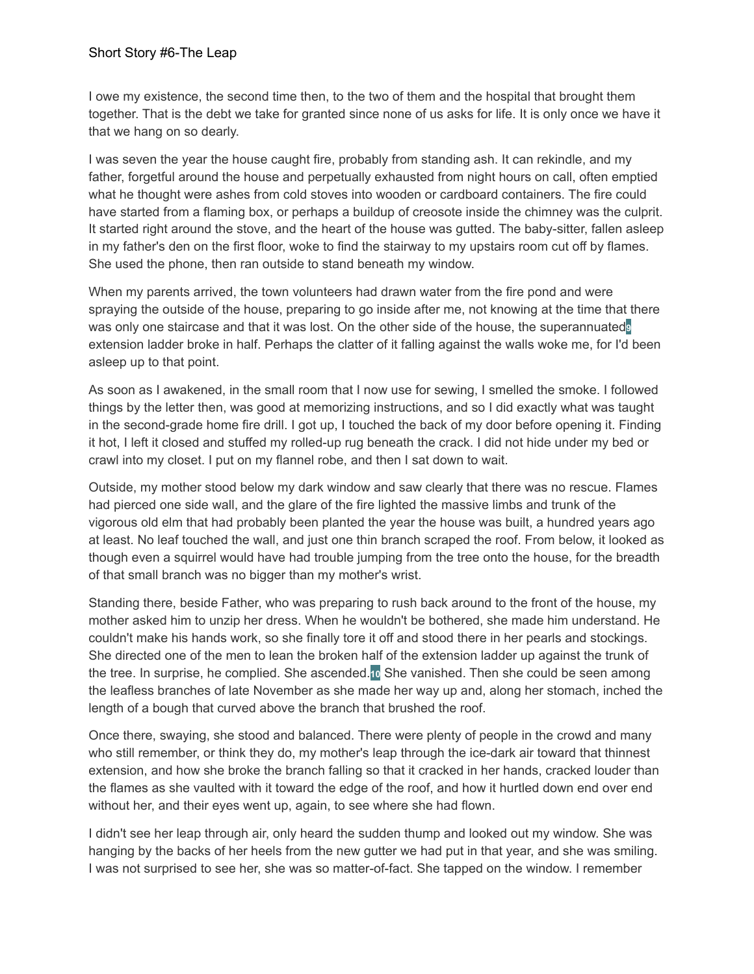#### Short Story #6-The Leap

I owe my existence, the second time then, to the two of them and the hospital that brought them together. That is the debt we take for granted since none of us asks for life. It is only once we have it that we hang on so dearly.

I was seven the year the house caught fire, probably from standing ash. It can rekindle, and my father, forgetful around the house and perpetually exhausted from night hours on call, often emptied what he thought were ashes from cold stoves into wooden or cardboard containers. The fire could have started from a flaming box, or perhaps a buildup of creosote inside the chimney was the culprit. It started right around the stove, and the heart of the house was gutted. The baby-sitter, fallen asleep in my father's den on the first floor, woke to find the stairway to my upstairs room cut off by flames. She used the phone, then ran outside to stand beneath my window.

When my parents arrived, the town volunteers had drawn water from the fire pond and were spraying the outside of the house, preparing to go inside after me, not knowing at the time that there was only one staircase and that it was lost. On the other side of the house, the superannuated**9** extension ladder broke in half. Perhaps the clatter of it falling against the walls woke me, for I'd been asleep up to that point.

As soon as I awakened, in the small room that I now use for sewing, I smelled the smoke. I followed things by the letter then, was good at memorizing instructions, and so I did exactly what was taught in the second-grade home fire drill. I got up, I touched the back of my door before opening it. Finding it hot, I left it closed and stuffed my rolled-up rug beneath the crack. I did not hide under my bed or crawl into my closet. I put on my flannel robe, and then I sat down to wait.

Outside, my mother stood below my dark window and saw clearly that there was no rescue. Flames had pierced one side wall, and the glare of the fire lighted the massive limbs and trunk of the vigorous old elm that had probably been planted the year the house was built, a hundred years ago at least. No leaf touched the wall, and just one thin branch scraped the roof. From below, it looked as though even a squirrel would have had trouble jumping from the tree onto the house, for the breadth of that small branch was no bigger than my mother's wrist.

Standing there, beside Father, who was preparing to rush back around to the front of the house, my mother asked him to unzip her dress. When he wouldn't be bothered, she made him understand. He couldn't make his hands work, so she finally tore it off and stood there in her pearls and stockings. She directed one of the men to lean the broken half of the extension ladder up against the trunk of the tree. In surprise, he complied. She ascended.**10** She vanished. Then she could be seen among the leafless branches of late November as she made her way up and, along her stomach, inched the length of a bough that curved above the branch that brushed the roof.

Once there, swaying, she stood and balanced. There were plenty of people in the crowd and many who still remember, or think they do, my mother's leap through the ice-dark air toward that thinnest extension, and how she broke the branch falling so that it cracked in her hands, cracked louder than the flames as she vaulted with it toward the edge of the roof, and how it hurtled down end over end without her, and their eyes went up, again, to see where she had flown.

I didn't see her leap through air, only heard the sudden thump and looked out my window. She was hanging by the backs of her heels from the new gutter we had put in that year, and she was smiling. I was not surprised to see her, she was so matter-of-fact. She tapped on the window. I remember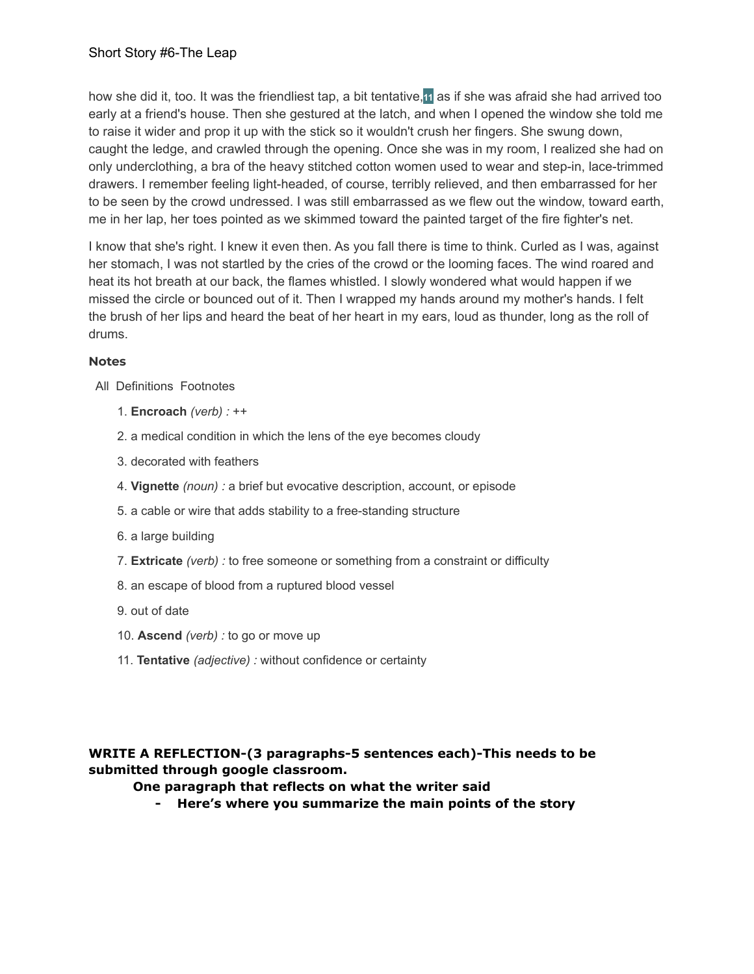how she did it, too. It was the friendliest tap, a bit tentative,**11** as if she was afraid she had arrived too early at a friend's house. Then she gestured at the latch, and when I opened the window she told me to raise it wider and prop it up with the stick so it wouldn't crush her fingers. She swung down, caught the ledge, and crawled through the opening. Once she was in my room, I realized she had on only underclothing, a bra of the heavy stitched cotton women used to wear and step-in, lace-trimmed drawers. I remember feeling light-headed, of course, terribly relieved, and then embarrassed for her to be seen by the crowd undressed. I was still embarrassed as we flew out the window, toward earth, me in her lap, her toes pointed as we skimmed toward the painted target of the fire fighter's net.

I know that she's right. I knew it even then. As you fall there is time to think. Curled as I was, against her stomach, I was not startled by the cries of the crowd or the looming faces. The wind roared and heat its hot breath at our back, the flames whistled. I slowly wondered what would happen if we missed the circle or bounced out of it. Then I wrapped my hands around my mother's hands. I felt the brush of her lips and heard the beat of her heart in my ears, loud as thunder, long as the roll of drums.

#### **Notes**

All Definitions Footnotes

- 1. **Encroach** *(verb) :* ++
- 2. a medical condition in which the lens of the eye becomes cloudy
- 3. decorated with feathers
- 4. **Vignette** *(noun) :* a brief but evocative description, account, or episode
- 5. a cable or wire that adds stability to a free-standing structure
- 6. a large building
- 7. **Extricate** *(verb) :* to free someone or something from a constraint or difficulty
- 8. an escape of blood from a ruptured blood vessel
- 9. out of date
- 10. **Ascend** *(verb) :* to go or move up
- 11. **Tentative** *(adjective) :* without confidence or certainty

### **WRITE A REFLECTION-(3 paragraphs-5 sentences each)-This needs to be submitted through google classroom.**

**One paragraph that reflects on what the writer said**

**- Here's where you summarize the main points of the story**